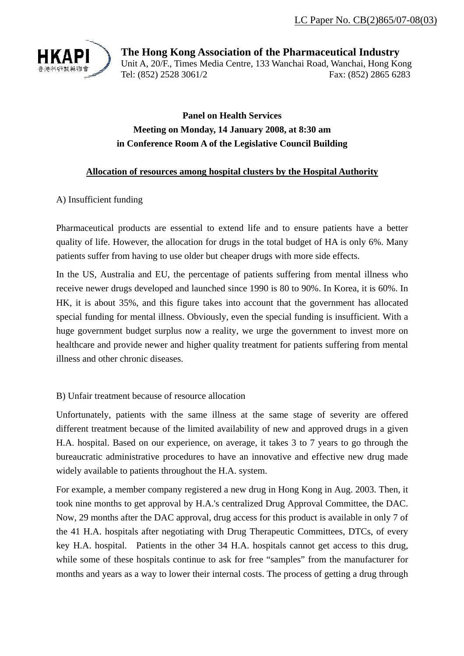

**The Hong Kong Association of the Pharmaceutical Industry**  Unit A, 20/F., Times Media Centre, 133 Wanchai Road, Wanchai, Hong Kong Tel: (852) 2528 3061/2 Fax: (852) 2865 6283

## **Panel on Health Services Meeting on Monday, 14 January 2008, at 8:30 am in Conference Room A of the Legislative Council Building**

## **Allocation of resources among hospital clusters by the Hospital Authority**

## A) Insufficient funding

Pharmaceutical products are essential to extend life and to ensure patients have a better quality of life. However, the allocation for drugs in the total budget of HA is only 6%. Many patients suffer from having to use older but cheaper drugs with more side effects.

In the US, Australia and EU, the percentage of patients suffering from mental illness who receive newer drugs developed and launched since 1990 is 80 to 90%. In Korea, it is 60%. In HK, it is about 35%, and this figure takes into account that the government has allocated special funding for mental illness. Obviously, even the special funding is insufficient. With a huge government budget surplus now a reality, we urge the government to invest more on healthcare and provide newer and higher quality treatment for patients suffering from mental illness and other chronic diseases.

## B) Unfair treatment because of resource allocation

Unfortunately, patients with the same illness at the same stage of severity are offered different treatment because of the limited availability of new and approved drugs in a given H.A. hospital. Based on our experience, on average, it takes 3 to 7 years to go through the bureaucratic administrative procedures to have an innovative and effective new drug made widely available to patients throughout the H.A. system.

For example, a member company registered a new drug in Hong Kong in Aug. 2003. Then, it took nine months to get approval by H.A.'s centralized Drug Approval Committee, the DAC. Now, 29 months after the DAC approval, drug access for this product is available in only 7 of the 41 H.A. hospitals after negotiating with Drug Therapeutic Committees, DTCs, of every key H.A. hospital. Patients in the other 34 H.A. hospitals cannot get access to this drug, while some of these hospitals continue to ask for free "samples" from the manufacturer for months and years as a way to lower their internal costs. The process of getting a drug through